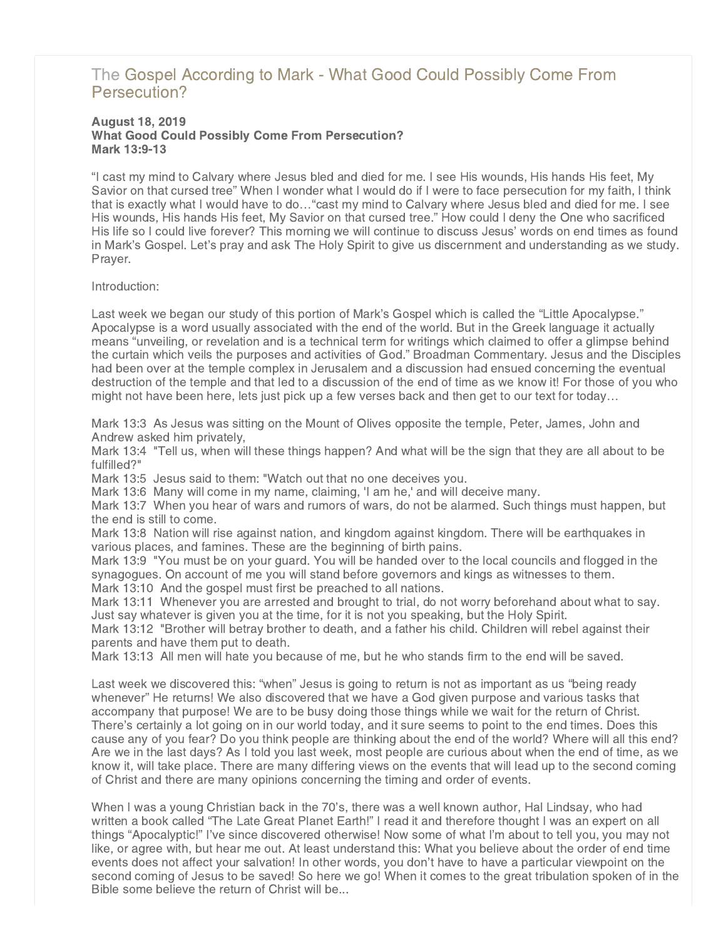# [The Gospel According to Mark - What Good Could Possibly Come From](http://northshorechurch.net/resources/sermons/sermon-notes/463-the-gospel-according-to-mark-what-good-could-possibly-come-from-persecution) Persecution?

#### August 18, 2019 What Good Could Possibly Come From Persecution? Mark 13:9-13

"I cast my mind to Calvary where Jesus bled and died for me. I see His wounds, His hands His feet, My Savior on that cursed tree" When I wonder what I would do if I were to face persecution for my faith, I think that is exactly what I would have to do…"cast my mind to Calvary where Jesus bled and died for me. I see His wounds, His hands His feet, My Savior on that cursed tree." How could I deny the One who sacrificed His life so I could live forever? This morning we will continue to discuss Jesus' words on end times as found in Mark's Gospel. Let's pray and ask The Holy Spirit to give us discernment and understanding as we study. Prayer.

## Introduction:

Last week we began our study of this portion of Mark's Gospel which is called the "Little Apocalypse." Apocalypse is a word usually associated with the end of the world. But in the Greek language it actually means "unveiling, or revelation and is a technical term for writings which claimed to offer a glimpse behind the curtain which veils the purposes and activities of God." Broadman Commentary. Jesus and the Disciples had been over at the temple complex in Jerusalem and a discussion had ensued concerning the eventual destruction of the temple and that led to a discussion of the end of time as we know it! For those of you who might not have been here, lets just pick up a few verses back and then get to our text for today…

Mark 13:3 As Jesus was sitting on the Mount of Olives opposite the temple, Peter, James, John and Andrew asked him privately,

Mark 13:4 "Tell us, when will these things happen? And what will be the sign that they are all about to be fulfilled?"

Mark 13:5 Jesus said to them: "Watch out that no one deceives you.

Mark 13:6 Many will come in my name, claiming, 'I am he,' and will deceive many.

Mark 13:7 When you hear of wars and rumors of wars, do not be alarmed. Such things must happen, but the end is still to come.

Mark 13:8 Nation will rise against nation, and kingdom against kingdom. There will be earthquakes in various places, and famines. These are the beginning of birth pains.

Mark 13:9 "You must be on your guard. You will be handed over to the local councils and flogged in the synagogues. On account of me you will stand before governors and kings as witnesses to them. Mark 13:10 And the gospel must first be preached to all nations.

Mark 13:11 Whenever you are arrested and brought to trial, do not worry beforehand about what to say. Just say whatever is given you at the time, for it is not you speaking, but the Holy Spirit.

Mark 13:12 "Brother will betray brother to death, and a father his child. Children will rebel against their parents and have them put to death.

Mark 13:13 All men will hate you because of me, but he who stands firm to the end will be saved.

Last week we discovered this: "when" Jesus is going to return is not as important as us "being ready whenever" He returns! We also discovered that we have a God given purpose and various tasks that accompany that purpose! We are to be busy doing those things while we wait for the return of Christ. There's certainly a lot going on in our world today, and it sure seems to point to the end times. Does this cause any of you fear? Do you think people are thinking about the end of the world? Where will all this end? Are we in the last days? As I told you last week, most people are curious about when the end of time, as we know it, will take place. There are many differing views on the events that will lead up to the second coming of Christ and there are many opinions concerning the timing and order of events.

When I was a young Christian back in the 70's, there was a well known author, Hal Lindsay, who had written a book called "The Late Great Planet Earth!" I read it and therefore thought I was an expert on all things "Apocalyptic!" I've since discovered otherwise! Now some of what I'm about to tell you, you may not like, or agree with, but hear me out. At least understand this: What you believe about the order of end time events does not affect your salvation! In other words, you don't have to have a particular viewpoint on the second coming of Jesus to be saved! So here we go! When it comes to the great tribulation spoken of in the Bible some believe the return of Christ will be...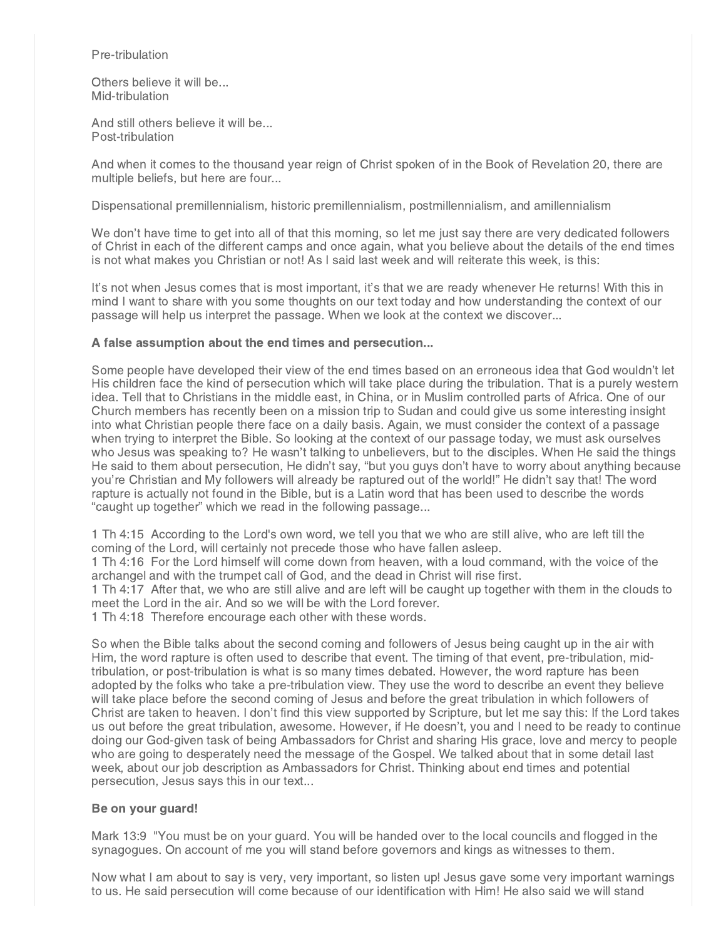## Pre-tribulation

Others believe it will be... Mid-tribulation

And still others believe it will be... Post-tribulation

And when it comes to the thousand year reign of Christ spoken of in the Book of Revelation 20, there are multiple beliefs, but here are four...

Dispensational premillennialism, historic premillennialism, postmillennialism, and amillennialism

We don't have time to get into all of that this morning, so let me just say there are very dedicated followers of Christ in each of the different camps and once again, what you believe about the details of the end times is not what makes you Christian or not! As I said last week and will reiterate this week, is this:

It's not when Jesus comes that is most important, it's that we are ready whenever He returns! With this in mind I want to share with you some thoughts on our text today and how understanding the context of our passage will help us interpret the passage. When we look at the context we discover...

# A false assumption about the end times and persecution...

Some people have developed their view of the end times based on an erroneous idea that God wouldn't let His children face the kind of persecution which will take place during the tribulation. That is a purely western idea. Tell that to Christians in the middle east, in China, or in Muslim controlled parts of Africa. One of our Church members has recently been on a mission trip to Sudan and could give us some interesting insight into what Christian people there face on a daily basis. Again, we must consider the context of a passage when trying to interpret the Bible. So looking at the context of our passage today, we must ask ourselves who Jesus was speaking to? He wasn't talking to unbelievers, but to the disciples. When He said the things He said to them about persecution, He didn't say, "but you guys don't have to worry about anything because you're Christian and My followers will already be raptured out of the world!" He didn't say that! The word rapture is actually not found in the Bible, but is a Latin word that has been used to describe the words "caught up together" which we read in the following passage...

1 Th 4:15 According to the Lord's own word, we tell you that we who are still alive, who are left till the coming of the Lord, will certainly not precede those who have fallen asleep.

1 Th 4:16 For the Lord himself will come down from heaven, with a loud command, with the voice of the archangel and with the trumpet call of God, and the dead in Christ will rise first.

1 Th 4:17 After that, we who are still alive and are left will be caught up together with them in the clouds to meet the Lord in the air. And so we will be with the Lord forever.

1 Th 4:18 Therefore encourage each other with these words.

So when the Bible talks about the second coming and followers of Jesus being caught up in the air with Him, the word rapture is often used to describe that event. The timing of that event, pre-tribulation, midtribulation, or post-tribulation is what is so many times debated. However, the word rapture has been adopted by the folks who take a pre-tribulation view. They use the word to describe an event they believe will take place before the second coming of Jesus and before the great tribulation in which followers of Christ are taken to heaven. I don't find this view supported by Scripture, but let me say this: If the Lord takes us out before the great tribulation, awesome. However, if He doesn't, you and I need to be ready to continue doing our God-given task of being Ambassadors for Christ and sharing His grace, love and mercy to people who are going to desperately need the message of the Gospel. We talked about that in some detail last week, about our job description as Ambassadors for Christ. Thinking about end times and potential persecution, Jesus says this in our text...

#### Be on your guard!

Mark 13:9 "You must be on your guard. You will be handed over to the local councils and flogged in the synagogues. On account of me you will stand before governors and kings as witnesses to them.

Now what I am about to say is very, very important, so listen up! Jesus gave some very important warnings to us. He said persecution will come because of our identification with Him! He also said we will stand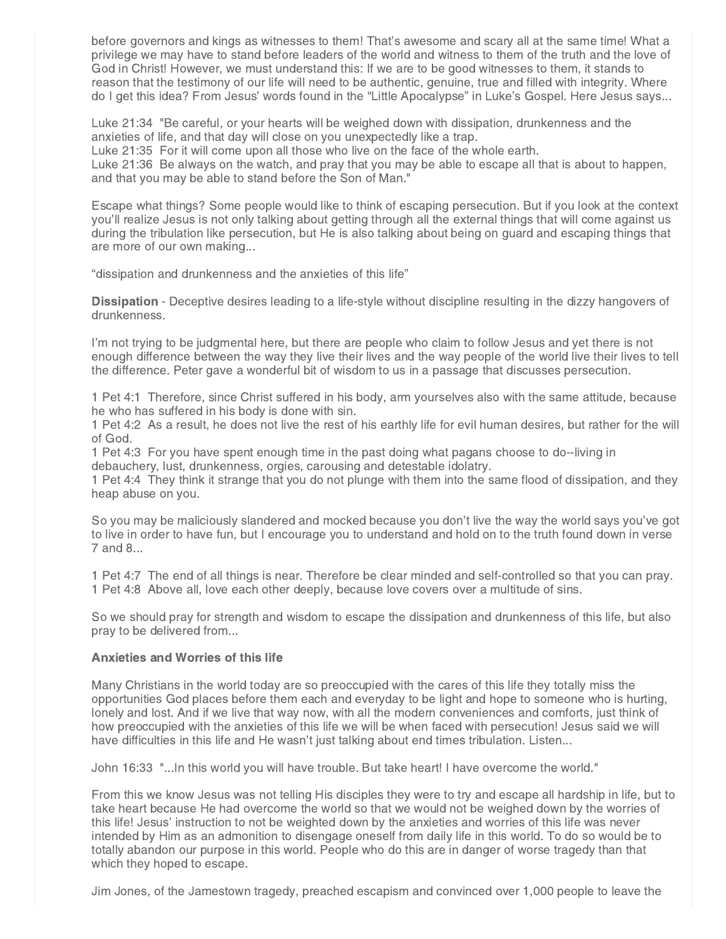before governors and kings as witnesses to them! That's awesome and scary all at the same time! What a privilege we may have to stand before leaders of the world and witness to them of the truth and the love of God in Christ! However, we must understand this: If we are to be good witnesses to them, it stands to reason that the testimony of our life will need to be authentic, genuine, true and filled with integrity. Where do I get this idea? From Jesus' words found in the "Little Apocalypse" in Luke's Gospel. Here Jesus says...

Luke 21:34 "Be careful, or your hearts will be weighed down with dissipation, drunkenness and the anxieties of life, and that day will close on you unexpectedly like a trap. Luke 21:35 For it will come upon all those who live on the face of the whole earth. Luke 21:36 Be always on the watch, and pray that you may be able to escape all that is about to happen, and that you may be able to stand before the Son of Man."

Escape what things? Some people would like to think of escaping persecution. But if you look at the context you'll realize Jesus is not only talking about getting through all the external things that will come against us during the tribulation like persecution, but He is also talking about being on guard and escaping things that are more of our own making...

"dissipation and drunkenness and the anxieties of this life"

Dissipation - Deceptive desires leading to a life-style without discipline resulting in the dizzy hangovers of drunkenness.

I'm not trying to be judgmental here, but there are people who claim to follow Jesus and yet there is not enough difference between the way they live their lives and the way people of the world live their lives to tell the difference. Peter gave a wonderful bit of wisdom to us in a passage that discusses persecution.

1 Pet 4:1 Therefore, since Christ suffered in his body, arm yourselves also with the same attitude, because he who has suffered in his body is done with sin.

1 Pet 4:2 As a result, he does not live the rest of his earthly life for evil human desires, but rather for the will of God.

1 Pet 4:3 For you have spent enough time in the past doing what pagans choose to do--living in debauchery, lust, drunkenness, orgies, carousing and detestable idolatry.

1 Pet 4:4 They think it strange that you do not plunge with them into the same flood of dissipation, and they heap abuse on you.

So you may be maliciously slandered and mocked because you don't live the way the world says you've got to live in order to have fun, but I encourage you to understand and hold on to the truth found down in verse 7 and 8...

1 Pet 4:7 The end of all things is near. Therefore be clear minded and self-controlled so that you can pray. 1 Pet 4:8 Above all, love each other deeply, because love covers over a multitude of sins.

So we should pray for strength and wisdom to escape the dissipation and drunkenness of this life, but also pray to be delivered from...

# Anxieties and Worries of this life

Many Christians in the world today are so preoccupied with the cares of this life they totally miss the opportunities God places before them each and everyday to be light and hope to someone who is hurting, lonely and lost. And if we live that way now, with all the modern conveniences and comforts, just think of how preoccupied with the anxieties of this life we will be when faced with persecution! Jesus said we will have difficulties in this life and He wasn't just talking about end times tribulation. Listen...

John 16:33 "...In this world you will have trouble. But take heart! I have overcome the world."

From this we know Jesus was not telling His disciples they were to try and escape all hardship in life, but to take heart because He had overcome the world so that we would not be weighed down by the worries of this life! Jesus' instruction to not be weighted down by the anxieties and worries of this life was never intended by Him as an admonition to disengage oneself from daily life in this world. To do so would be to totally abandon our purpose in this world. People who do this are in danger of worse tragedy than that which they hoped to escape.

Jim Jones, of the Jamestown tragedy, preached escapism and convinced over 1,000 people to leave the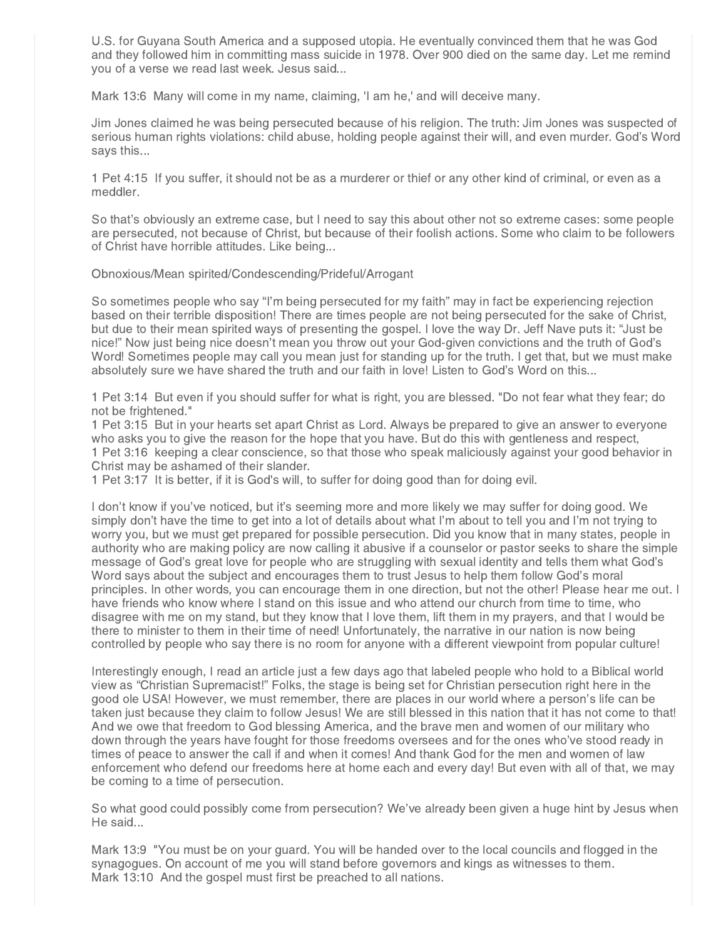U.S. for Guyana South America and a supposed utopia. He eventually convinced them that he was God and they followed him in committing mass suicide in 1978. Over 900 died on the same day. Let me remind you of a verse we read last week. Jesus said...

Mark 13:6 Many will come in my name, claiming, 'I am he,' and will deceive many.

Jim Jones claimed he was being persecuted because of his religion. The truth: Jim Jones was suspected of serious human rights violations: child abuse, holding people against their will, and even murder. God's Word says this...

1 Pet 4:15 If you suffer, it should not be as a murderer or thief or any other kind of criminal, or even as a meddler.

So that's obviously an extreme case, but I need to say this about other not so extreme cases: some people are persecuted, not because of Christ, but because of their foolish actions. Some who claim to be followers of Christ have horrible attitudes. Like being...

Obnoxious/Mean spirited/Condescending/Prideful/Arrogant

So sometimes people who say "I'm being persecuted for my faith" may in fact be experiencing rejection based on their terrible disposition! There are times people are not being persecuted for the sake of Christ, but due to their mean spirited ways of presenting the gospel. I love the way Dr. Jeff Nave puts it: "Just be nice!" Now just being nice doesn't mean you throw out your God-given convictions and the truth of God's Word! Sometimes people may call you mean just for standing up for the truth. I get that, but we must make absolutely sure we have shared the truth and our faith in love! Listen to God's Word on this...

1 Pet 3:14 But even if you should suffer for what is right, you are blessed. "Do not fear what they fear; do not be frightened."

1 Pet 3:15 But in your hearts set apart Christ as Lord. Always be prepared to give an answer to everyone who asks you to give the reason for the hope that you have. But do this with gentleness and respect, 1 Pet 3:16 keeping a clear conscience, so that those who speak maliciously against your good behavior in Christ may be ashamed of their slander.

1 Pet 3:17 It is better, if it is God's will, to suffer for doing good than for doing evil.

I don't know if you've noticed, but it's seeming more and more likely we may suffer for doing good. We simply don't have the time to get into a lot of details about what I'm about to tell you and I'm not trying to worry you, but we must get prepared for possible persecution. Did you know that in many states, people in authority who are making policy are now calling it abusive if a counselor or pastor seeks to share the simple message of God's great love for people who are struggling with sexual identity and tells them what God's Word says about the subject and encourages them to trust Jesus to help them follow God's moral principles. In other words, you can encourage them in one direction, but not the other! Please hear me out. I have friends who know where I stand on this issue and who attend our church from time to time, who disagree with me on my stand, but they know that I love them, lift them in my prayers, and that I would be there to minister to them in their time of need! Unfortunately, the narrative in our nation is now being controlled by people who say there is no room for anyone with a different viewpoint from popular culture!

Interestingly enough, I read an article just a few days ago that labeled people who hold to a Biblical world view as "Christian Supremacist!" Folks, the stage is being set for Christian persecution right here in the good ole USA! However, we must remember, there are places in our world where a person's life can be taken just because they claim to follow Jesus! We are still blessed in this nation that it has not come to that! And we owe that freedom to God blessing America, and the brave men and women of our military who down through the years have fought for those freedoms oversees and for the ones who've stood ready in times of peace to answer the call if and when it comes! And thank God for the men and women of law enforcement who defend our freedoms here at home each and every day! But even with all of that, we may be coming to a time of persecution.

So what good could possibly come from persecution? We've already been given a huge hint by Jesus when He said...

Mark 13:9 "You must be on your guard. You will be handed over to the local councils and flogged in the synagogues. On account of me you will stand before governors and kings as witnesses to them. Mark 13:10 And the gospel must first be preached to all nations.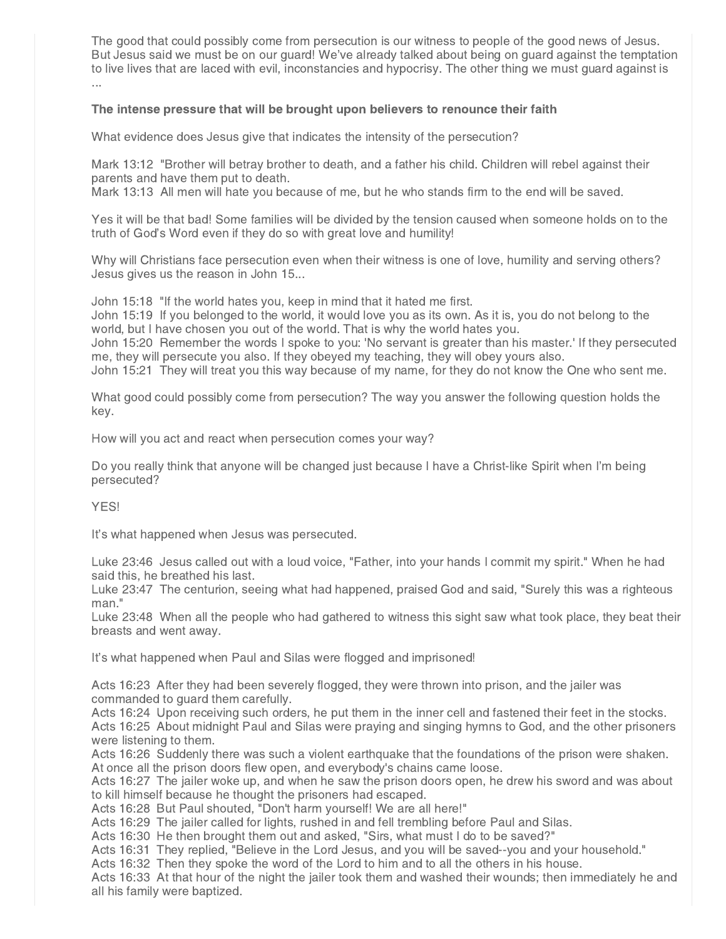The good that could possibly come from persecution is our witness to people of the good news of Jesus. But Jesus said we must be on our guard! We've already talked about being on guard against the temptation to live lives that are laced with evil, inconstancies and hypocrisy. The other thing we must guard against is ...

#### The intense pressure that will be brought upon believers to renounce their faith

What evidence does Jesus give that indicates the intensity of the persecution?

Mark 13:12 "Brother will betray brother to death, and a father his child. Children will rebel against their parents and have them put to death.

Mark 13:13 All men will hate you because of me, but he who stands firm to the end will be saved.

Yes it will be that bad! Some families will be divided by the tension caused when someone holds on to the truth of God's Word even if they do so with great love and humility!

Why will Christians face persecution even when their witness is one of love, humility and serving others? Jesus gives us the reason in John 15...

John 15:18 "If the world hates you, keep in mind that it hated me first.

John 15:19 If you belonged to the world, it would love you as its own. As it is, you do not belong to the world, but I have chosen you out of the world. That is why the world hates you.

John 15:20 Remember the words I spoke to you: 'No servant is greater than his master.' If they persecuted me, they will persecute you also. If they obeyed my teaching, they will obey yours also.

John 15:21 They will treat you this way because of my name, for they do not know the One who sent me.

What good could possibly come from persecution? The way you answer the following question holds the key.

How will you act and react when persecution comes your way?

Do you really think that anyone will be changed just because I have a Christ-like Spirit when I'm being persecuted?

YES!

It's what happened when Jesus was persecuted.

Luke 23:46 Jesus called out with a loud voice, "Father, into your hands I commit my spirit." When he had said this, he breathed his last.

Luke 23:47 The centurion, seeing what had happened, praised God and said, "Surely this was a righteous man."

Luke 23:48 When all the people who had gathered to witness this sight saw what took place, they beat their breasts and went away.

It's what happened when Paul and Silas were flogged and imprisoned!

Acts 16:23 After they had been severely flogged, they were thrown into prison, and the jailer was commanded to guard them carefully.

Acts 16:24 Upon receiving such orders, he put them in the inner cell and fastened their feet in the stocks. Acts 16:25 About midnight Paul and Silas were praying and singing hymns to God, and the other prisoners were listening to them.

Acts 16:26 Suddenly there was such a violent earthquake that the foundations of the prison were shaken. At once all the prison doors flew open, and everybody's chains came loose.

Acts 16:27 The jailer woke up, and when he saw the prison doors open, he drew his sword and was about to kill himself because he thought the prisoners had escaped.

Acts 16:28 But Paul shouted, "Don't harm yourself! We are all here!"

Acts 16:29 The jailer called for lights, rushed in and fell trembling before Paul and Silas.

Acts 16:30 He then brought them out and asked, "Sirs, what must I do to be saved?"

Acts 16:31 They replied, "Believe in the Lord Jesus, and you will be saved--you and your household."

Acts 16:32 Then they spoke the word of the Lord to him and to all the others in his house.

Acts 16:33 At that hour of the night the jailer took them and washed their wounds; then immediately he and all his family were baptized.